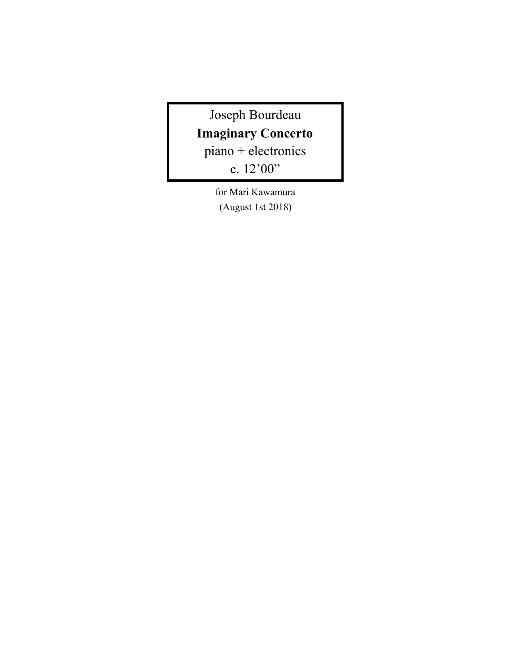# Joseph Bourdeau

# **Imaginary Concerto**

piano + electronics

c. 12'00"

for Mari Kawamura (August 1st 2018)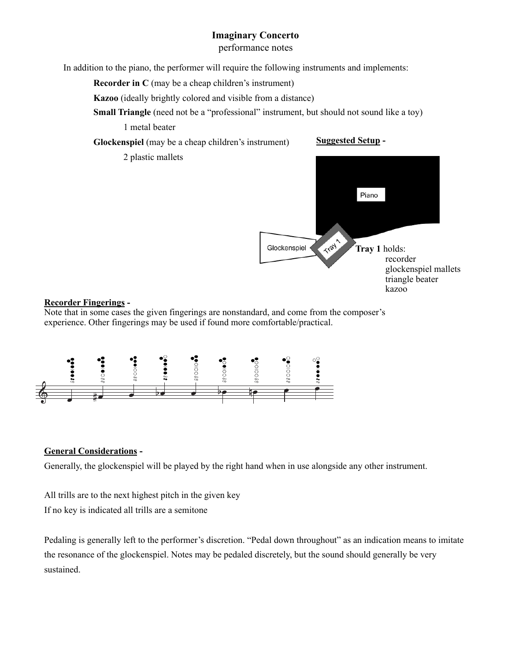## **Imaginary Concerto**

### performance notes

In addition to the piano, the performer will require the following instruments and implements:

**Recorder in C** (may be a cheap children's instrument)

**Kazoo** (ideally brightly colored and visible from a distance)

**Small Triangle** (need not be a "professional" instrument, but should not sound like a toy)

1 metal beater

**Glockenspiel** (may be a cheap children's instrument)

2 plastic mallets





#### **Recorder Fingerings -**

 $\mathcal{L}$   $\mathcal{L}$   $\mathcal{L}$   $\mathcal{L}$   $\mathcal{L}$   $\mathcal{L}$   $\mathcal{L}$   $\mathcal{L}$   $\mathcal{L}$   $\mathcal{L}$   $\mathcal{L}$   $\mathcal{L}$   $\mathcal{L}$   $\mathcal{L}$   $\mathcal{L}$   $\mathcal{L}$   $\mathcal{L}$   $\mathcal{L}$   $\mathcal{L}$   $\mathcal{L}$   $\mathcal{L}$   $\mathcal{L}$   $\mathcal{L}$   $\mathcal{L}$   $\mathcal{$ Note that in some cases the given fingerings are nonstandard, and come from the composer's experience. Other fingerings may be used if found more comfortable/practical.



### **General Considerations -**

Generally, the glockenspiel will be played by the right hand when in use alongside any other instrument.

All trills are to the next highest pitch in the given key If no key is indicated all trills are a semitone

Pedaling is generally left to the performer's discretion. "Pedal down throughout" as an indication means to imitate the resonance of the glockenspiel. Notes may be pedaled discretely, but the sound should generally be very sustained.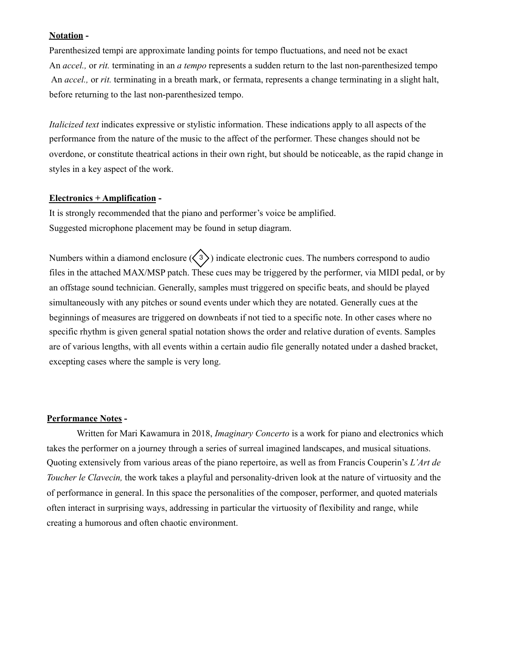#### **Notation -**

Parenthesized tempi are approximate landing points for tempo fluctuations, and need not be exact An *accel.,* or *rit.* terminating in an *a tempo* represents a sudden return to the last non-parenthesized tempo An *accel.,* or *rit.* terminating in a breath mark, or fermata, represents a change terminating in a slight halt, before returning to the last non-parenthesized tempo.

*Italicized text* indicates expressive or stylistic information. These indications apply to all aspects of the performance from the nature of the music to the affect of the performer. These changes should not be overdone, or constitute theatrical actions in their own right, but should be noticeable, as the rapid change in styles in a key aspect of the work.

#### **Electronics + Amplification -**

It is strongly recommended that the piano and performer's voice be amplified. Suggested microphone placement may be found in setup diagram.

Numbers within a diamond enclosure  $\langle \langle 3 \rangle$  indicate electronic cues. The numbers correspond to audio files in the attached MAX/MSP patch. These cues may be triggered by the performer, via MIDI pedal, or by an offstage sound technician. Generally, samples must triggered on specific beats, and should be played simultaneously with any pitches or sound events under which they are notated. Generally cues at the beginnings of measures are triggered on downbeats if not tied to a specific note. In other cases where no specific rhythm is given general spatial notation shows the order and relative duration of events. Samples are of various lengths, with all events within a certain audio file generally notated under a dashed bracket, excepting cases where the sample is very long.

#### **Performance Notes -**

 Written for Mari Kawamura in 2018, *Imaginary Concerto* is a work for piano and electronics which takes the performer on a journey through a series of surreal imagined landscapes, and musical situations. Quoting extensively from various areas of the piano repertoire, as well as from Francis Couperin's *L'Art de Toucher le Clavecin,* the work takes a playful and personality-driven look at the nature of virtuosity and the of performance in general. In this space the personalities of the composer, performer, and quoted materials often interact in surprising ways, addressing in particular the virtuosity of flexibility and range, while creating a humorous and often chaotic environment.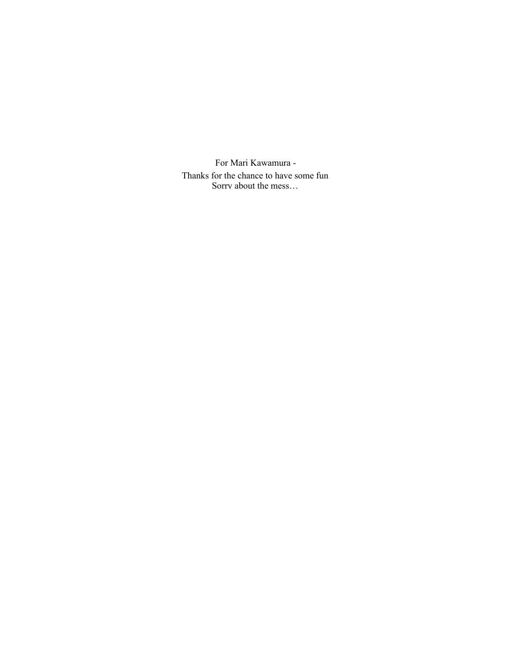For Mari Kawamura - Thanks for the chance to have some fun Sorry about the mess…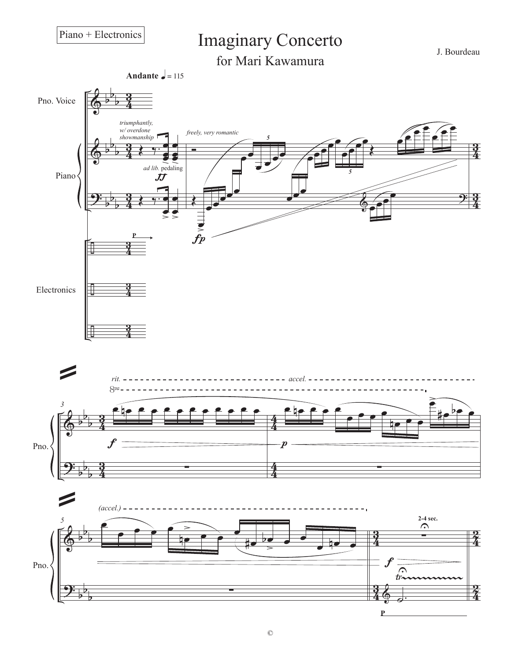# Imaginary Concerto J. Bourdeau

for Mari Kawamura

 $\pmb{\Phi}$  $\pmb{\phi}$ <u>9:</u> ÷ ÷ ÷ b b b b b b b b b  $\frac{3}{4}$ <u>ភ្</u>  $\frac{3}{4}$ showmanship<br>**2 2 4 9**  $\frac{3}{4}$ <u>ភ្</u> 4 <u>ភ្</u>  $\frac{3}{4}$ <u>ភ្</u> 4 <u>ភ្</u>  $\frac{3}{4}$ <u>ភ្</u>  $\frac{3}{4}$ <u>ភ្</u> Pno. Voice Piano Electronics **P** experience of the set of the set of the set of the set of the set of the set of the set of the set of the set of the set of the set of the set of the set of the set of the set of the set of the set of the set of the set of œ  $\frac{1}{2}$   $\frac{1}{2}$ œ **|<br>|>** œ œ **|<br>|>**  $\dot{J\!J}$ *triumphantly, w/ overdone*  **Andante**  $\sqrt{ }$  = 115 Ó œœ œœ  $\frac{1}{\epsilon}$  $\frac{1}{\bullet}$  $\overline{\phantom{a}}$ œœœ œœ œœ œœ Œ œœ  $\widetilde{\mathsf{e}}$ œ  $\widehat{\mathsf{e}}$ *5 5* Œ  $\frac{1}{2}$ œœ œ œœœ  $\frac{1}{2}$ Í *freely, very romantic*  $\pmb{\phi}$ <u>9:</u> b b b b b b  $\frac{3}{4}$ <u>ភ្</u>  $\frac{3}{4}$ <u>ភ្</u> 4 4 4 4 Pno.  $8<sup>va</sup>$ *3* e 10 e 0 e 0 e 0 e 0 e 0 e 0 ∑ *rit.* f  $e$  ie e e e  $e$   $e$   $e$  $\overline{\mathbb{R}^n}$ œ ><br>0  $\mathbb{R}$ ∑ *accel.* p  $\pmb{\Phi}$ 9: b b b b b b  $\frac{3}{4}$ <u>ភ្</u>  $\frac{3}{4}$ <u>ភ្</u>  $\rm \vec{4}$ <u>.</u><br>2  $\tilde{4}$ <u>ռ</u> Pno.  $\stackrel{\text{t}}{\text{t}}$   $\stackrel{\text{t}}{\text{t}}$ *5* œ  $\overrightarrow{e}$ nœ  $\overrightarrow{r}$ œ  $\frac{1}{4}$ e be  $\frac{1}{2}$  $\frac{1}{\sqrt{1-\frac{1}{\sqrt{1-\frac{1}{\sqrt{1-\frac{1}{\sqrt{1-\frac{1}{\sqrt{1-\frac{1}{\sqrt{1-\frac{1}{\sqrt{1-\frac{1}{\sqrt{1-\frac{1}{\sqrt{1-\frac{1}{\sqrt{1-\frac{1}{\sqrt{1-\frac{1}{\sqrt{1-\frac{1}{\sqrt{1-\frac{1}{\sqrt{1-\frac{1}{\sqrt{1-\frac{1}{\sqrt{1-\frac{1}{\sqrt{1-\frac{1}{\sqrt{1-\frac{1}{\sqrt{1-\frac{1}{\sqrt{1-\frac{1}{\sqrt{1-\frac{1}{\sqrt{1-\frac{1}{\sqrt{1-\frac{1}{\sqrt{1-\frac{1$ ∑ *(accel.)* ∑ ˙.  $\overline{\Omega}$ r. & f **2-4 sec.** ª ª

**P**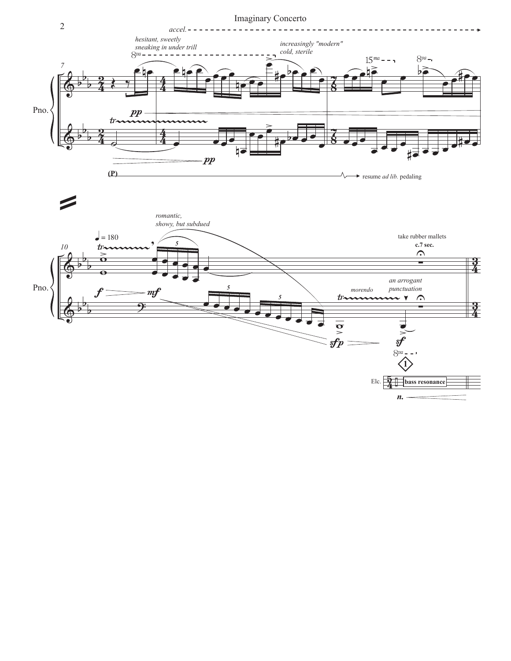



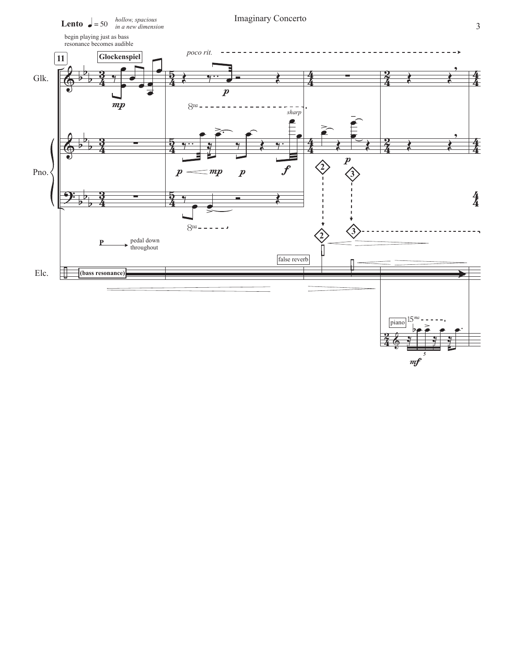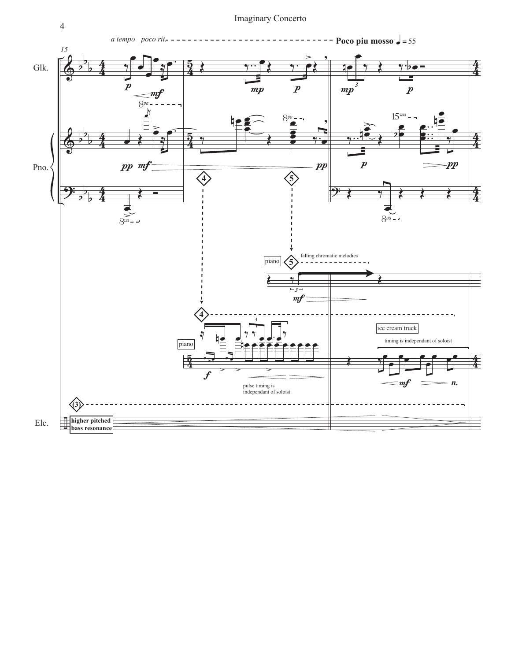<sup>4</sup> Imaginary Concerto

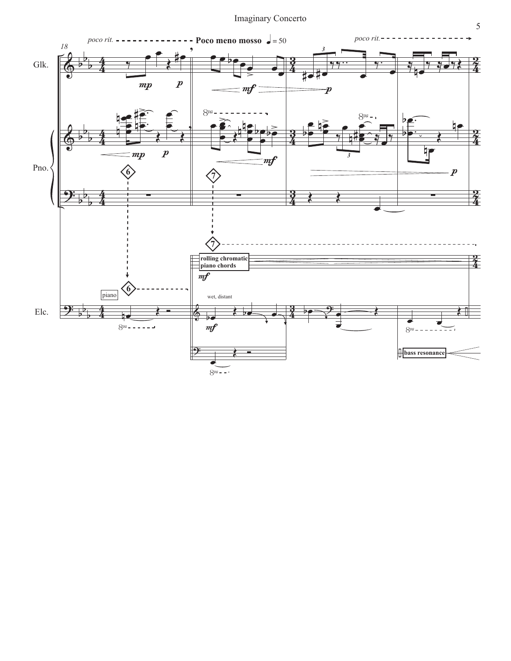